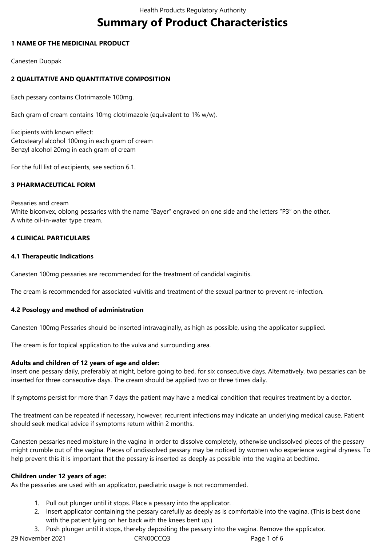# **Summary of Product Characteristics**

# **1 NAME OF THE MEDICINAL PRODUCT**

Canesten Duopak

# **2 QUALITATIVE AND QUANTITATIVE COMPOSITION**

Each pessary contains Clotrimazole 100mg.

Each gram of cream contains 10mg clotrimazole (equivalent to 1% w/w).

Excipients with known effect: Cetostearyl alcohol 100mg in each gram of cream Benzyl alcohol 20mg in each gram of cream

For the full list of excipients, see section 6.1.

# **3 PHARMACEUTICAL FORM**

Pessaries and cream White biconvex, oblong pessaries with the name "Bayer" engraved on one side and the letters "P3" on the other. A white oil-in-water type cream.

# **4 CLINICAL PARTICULARS**

# **4.1 Therapeutic Indications**

Canesten 100mg pessaries are recommended for the treatment of candidal vaginitis.

The cream is recommended for associated vulvitis and treatment of the sexual partner to prevent re-infection.

### **4.2 Posology and method of administration**

Canesten 100mg Pessaries should be inserted intravaginally, as high as possible, using the applicator supplied.

The cream is for topical application to the vulva and surrounding area.

### **Adults and children of 12 years of age and older:**

Insert one pessary daily, preferably at night, before going to bed, for six consecutive days. Alternatively, two pessaries can be inserted for three consecutive days. The cream should be applied two or three times daily.

If symptoms persist for more than 7 days the patient may have a medical condition that requires treatment by a doctor.

The treatment can be repeated if necessary, however, recurrent infections may indicate an underlying medical cause. Patient should seek medical advice if symptoms return within 2 months.

Canesten pessaries need moisture in the vagina in order to dissolve completely, otherwise undissolved pieces of the pessary might crumble out of the vagina. Pieces of undissolved pessary may be noticed by women who experience vaginal dryness. To help prevent this it is important that the pessary is inserted as deeply as possible into the vagina at bedtime.

### **Children under 12 years of age:**

As the pessaries are used with an applicator, paediatric usage is not recommended.

- 1. Pull out plunger until it stops. Place a pessary into the applicator.
- 2. Insert applicator containing the pessary carefully as deeply as is comfortable into the vagina. (This is best done with the patient lying on her back with the knees bent up.)
- 3. Push plunger until it stops, thereby depositing the pessary into the vagina. Remove the applicator.

29 November 2021 CRN00CCQ3 Page 1 of 6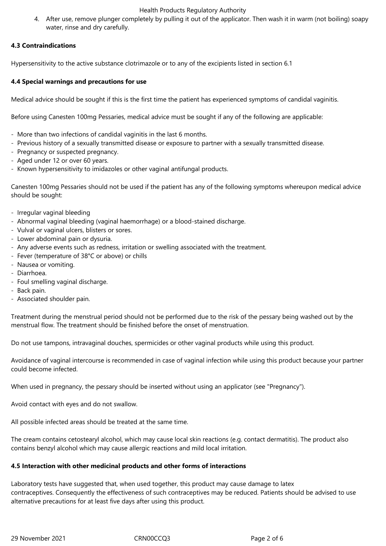### Health Products Regulatory Authority

4. After use, remove plunger completely by pulling it out of the applicator. Then wash it in warm (not boiling) soapy water, rinse and dry carefully.

# **4.3 Contraindications**

Hypersensitivity to the active substance clotrimazole or to any of the excipients listed in section 6.1

### **4.4 Special warnings and precautions for use**

Medical advice should be sought if this is the first time the patient has experienced symptoms of candidal vaginitis.

Before using Canesten 100mg Pessaries, medical advice must be sought if any of the following are applicable:

- More than two infections of candidal vaginitis in the last 6 months.
- Previous history of a sexually transmitted disease or exposure to partner with a sexually transmitted disease.
- Pregnancy or suspected pregnancy.
- Aged under 12 or over 60 years.
- Known hypersensitivity to imidazoles or other vaginal antifungal products.

Canesten 100mg Pessaries should not be used if the patient has any of the following symptoms whereupon medical advice should be sought:

- Irregular vaginal bleeding
- Abnormal vaginal bleeding (vaginal haemorrhage) or a blood-stained discharge.
- Vulval or vaginal ulcers, blisters or sores.
- Lower abdominal pain or dysuria.
- Any adverse events such as redness, irritation or swelling associated with the treatment.
- Fever (temperature of 38°C or above) or chills
- Nausea or vomiting.
- Diarrhoea.
- Foul smelling vaginal discharge.
- Back pain.
- Associated shoulder pain.

Treatment during the menstrual period should not be performed due to the risk of the pessary being washed out by the menstrual flow. The treatment should be finished before the onset of menstruation.

Do not use tampons, intravaginal douches, spermicides or other vaginal products while using this product.

Avoidance of vaginal intercourse is recommended in case of vaginal infection while using this product because your partner could become infected.

When used in pregnancy, the pessary should be inserted without using an applicator (see "Pregnancy").

Avoid contact with eyes and do not swallow.

All possible infected areas should be treated at the same time.

The cream contains cetostearyl alcohol, which may cause local skin reactions (e.g. contact dermatitis). The product also contains benzyl alcohol which may cause allergic reactions and mild local irritation.

### **4.5 Interaction with other medicinal products and other forms of interactions**

Laboratory tests have suggested that, when used together, this product may cause damage to latex contraceptives. Consequently the effectiveness of such contraceptives may be reduced. Patients should be advised to use alternative precautions for at least five days after using this product.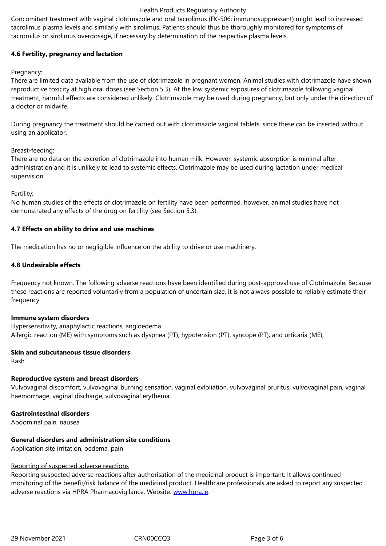tacromilus or sirolimus overdosage, if necessary by determination of the respective plasma levels.

# **4.6 Fertility, pregnancy and lactation**

Pregnancy:

There are limited data available from the use of clotrimazole in pregnant women. Animal studies with clotrimazole have shown reproductive toxicity at high oral doses (see Section 5.3). At the low systemic exposures of clotrimazole following vaginal treatment, harmful effects are considered unlikely. Clotrimazole may be used during pregnancy, but only under the direction of a doctor or midwife.

During pregnancy the treatment should be carried out with clotrimazole vaginal tablets, since these can be inserted without using an applicator.

# Breast-feeding:

There are no data on the excretion of clotrimazole into human milk. However, systemic absorption is minimal after administration and it is unlikely to lead to systemic effects. Clotrimazole may be used during lactation under medical supervision.

# Fertility:

No human studies of the effects of clotrimazole on fertility have been performed, however, animal studies have not demonstrated any effects of the drug on fertility (see Section 5.3).

# **4.7 Effects on ability to drive and use machines**

The medication has no or negligible influence on the ability to drive or use machinery.

# **4.8 Undesirable effects**

Frequency not known. The following adverse reactions have been identified during post-approval use of Clotrimazole. Because these reactions are reported voluntarily from a population of uncertain size, it is not always possible to reliably estimate their frequency.

### **Immune system disorders**

Hypersensitivity, anaphylactic reactions, angioedema Allergic reaction (ME) with symptoms such as dyspnea (PT), hypotension (PT), syncope (PT), and urticaria (ME),

# **Skin and subcutaneous tissue disorders**

Rash

# **Reproductive system and breast disorders**

Vulvovaginal discomfort, vulvovaginal burning sensation, vaginal exfoliation, vulvovaginal pruritus, vulvovaginal pain, vaginal haemorrhage, vaginal discharge, vulvovaginal erythema.

# **Gastrointestinal disorders**

Abdominal pain, nausea

# **General disorders and administration site conditions**

Application site irritation, oedema, pain

# Reporting of suspected adverse reactions

Reporting suspected adverse reactions after authorisation of the medicinal product is important. It allows continued monitoring of the benefit/risk balance of the medicinal product. Healthcare professionals are asked to report any suspected adverse reactions via HPRA Pharmacovigilance, Website: www.hpra.ie.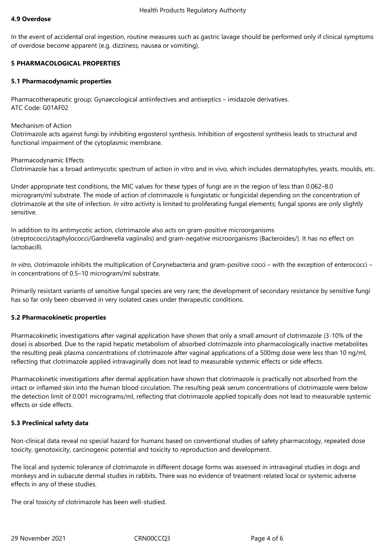In the event of accidental oral ingestion, routine measures such as gastric lavage should be performed only if clinical symptoms of overdose become apparent (e.g. dizziness, nausea or vomiting).

# **5 PHARMACOLOGICAL PROPERTIES**

### **5.1 Pharmacodynamic properties**

Pharmacotherapeutic group: Gynaecological antiinfectives and antiseptics – imidazole derivatives. ATC Code: G01AF02

### Mechanism of Action

Clotrimazole acts against fungi by inhibiting ergosterol synthesis. Inhibition of ergosterol synthesis leads to structural and functional impairment of the cytoplasmic membrane.

Pharmacodynamic Effects

Clotrimazole has a broad antimycotic spectrum of action in vitro and in vivo, which includes dermatophytes, yeasts, moulds, etc.

Under appropriate test conditions, the MIC values for these types of fungi are in the region of less than 0.062–8.0 microgram/ml substrate. The mode of action of clotrimazole is fungistatic or fungicidal depending on the concentration of clotrimazole at the site of infection. *In vitro* activity is limited to proliferating fungal elements; fungal spores are only slightly sensitive.

In addition to its antimycotic action, clotrimazole also acts on gram-positive microorganisms (streptococci/staphylococci/Gardnerella vagiinalis) and gram-negative microorganisms (Bacteroides/). It has no effect on lactobacilli.

*In vitro*, clotrimazole inhibits the multiplication of Corynebacteria and gram-positive cocci – with the exception of enterococci – in concentrations of 0.5–10 microgram/ml substrate.

Primarily resistant variants of sensitive fungal species are very rare; the development of secondary resistance by sensitive fungi has so far only been observed in very isolated cases under therapeutic conditions.

# **5.2 Pharmacokinetic properties**

Pharmacokinetic investigations after vaginal application have shown that only a small amount of clotrimazole (3-10% of the dose) is absorbed. Due to the rapid hepatic metabolism of absorbed clotrimazole into pharmacologically inactive metabolites the resulting peak plasma concentrations of clotrimazole after vaginal applications of a 500mg dose were less than 10 ng/ml, reflecting that clotrimazole applied intravaginally does not lead to measurable systemic effects or side effects.

Pharmacokinetic investigations after dermal application have shown that clotrimazole is practically not absorbed from the intact or inflamed skin into the human blood circulation. The resulting peak serum concentrations of clotrimazole were below the detection limit of 0.001 micrograms/ml, reflecting that clotrimazole applied topically does not lead to measurable systemic effects or side effects.

### **5.3 Preclinical safety data**

Non-clinical data reveal no special hazard for humans based on conventional studies of safety pharmacology, repeated dose toxicity, genotoxicity, carcinogenic potential and toxicity to reproduction and development.

The local and systemic tolerance of clotrimazole in different dosage forms was assessed in intravaginal studies in dogs and monkeys and in subacute dermal studies in rabbits. There was no evidence of treatment-related local or systemic adverse effects in any of these studies.

The oral toxicity of clotrimazole has been well-studied.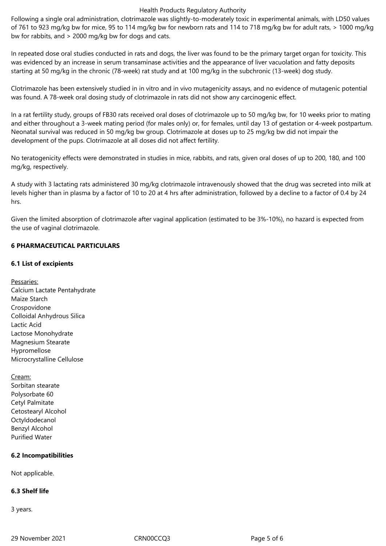#### Health Products Regulatory Authority

Following a single oral administration, clotrimazole was slightly-to-moderately toxic in experimental animals, with LD50 values of 761 to 923 mg/kg bw for mice, 95 to 114 mg/kg bw for newborn rats and 114 to 718 mg/kg bw for adult rats, > 1000 mg/kg bw for rabbits, and > 2000 mg/kg bw for dogs and cats.

In repeated dose oral studies conducted in rats and dogs, the liver was found to be the primary target organ for toxicity. This was evidenced by an increase in serum transaminase activities and the appearance of liver vacuolation and fatty deposits starting at 50 mg/kg in the chronic (78-week) rat study and at 100 mg/kg in the subchronic (13-week) dog study.

Clotrimazole has been extensively studied in in vitro and in vivo mutagenicity assays, and no evidence of mutagenic potential was found. A 78-week oral dosing study of clotrimazole in rats did not show any carcinogenic effect.

In a rat fertility study, groups of FB30 rats received oral doses of clotrimazole up to 50 mg/kg bw, for 10 weeks prior to mating and either throughout a 3-week mating period (for males only) or, for females, until day 13 of gestation or 4-week postpartum. Neonatal survival was reduced in 50 mg/kg bw group. Clotrimazole at doses up to 25 mg/kg bw did not impair the development of the pups. Clotrimazole at all doses did not affect fertility.

No teratogenicity effects were demonstrated in studies in mice, rabbits, and rats, given oral doses of up to 200, 180, and 100 mg/kg, respectively.

A study with 3 lactating rats administered 30 mg/kg clotrimazole intravenously showed that the drug was secreted into milk at levels higher than in plasma by a factor of 10 to 20 at 4 hrs after administration, followed by a decline to a factor of 0.4 by 24 hrs.

Given the limited absorption of clotrimazole after vaginal application (estimated to be 3%-10%), no hazard is expected from the use of vaginal clotrimazole.

# **6 PHARMACEUTICAL PARTICULARS**

# **6.1 List of excipients**

- Pessaries: Calcium Lactate Pentahydrate Maize Starch Crospovidone Colloidal Anhydrous Silica Lactic Acid Lactose Monohydrate Magnesium Stearate Hypromellose Microcrystalline Cellulose
- Cream: Sorbitan stearate Polysorbate 60 Cetyl Palmitate Cetostearyl Alcohol Octyldodecanol Benzyl Alcohol Purified Water

# **6.2 Incompatibilities**

Not applicable.

# **6.3 Shelf life**

3 years.